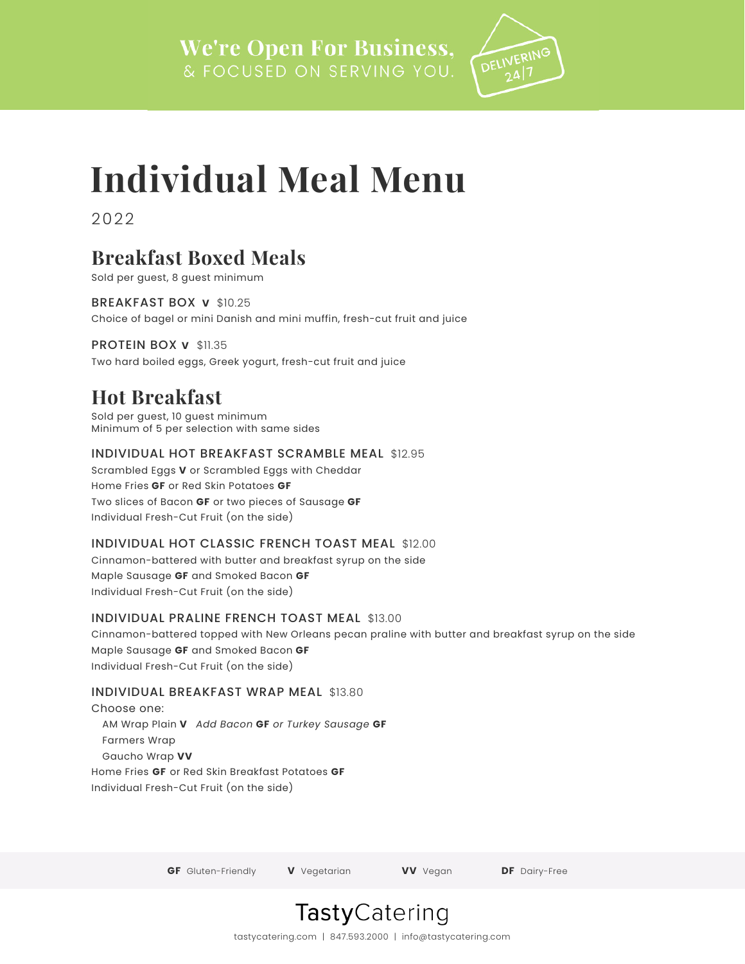

# **Individual Meal Menu**

2022

# **Breakfast Boxed Meals**

Sold per guest, 8 guest minimum

BREAKFAST BOX **V** \$10.25 Choice of bagel or mini Danish and mini muffin, fresh-cut fruit and juice

PROTEIN BOX **V** \$11.35 Two hard boiled eggs, Greek yogurt, fresh-cut fruit and juice

# **Hot Breakfast**

Sold per guest, 10 guest minimum Minimum of 5 per selection with same sides

# INDIVIDUAL HOT BREAKFAST SCRAMBLE MEAL \$12.95

Scrambled Eggs **V** or Scrambled Eggs with Cheddar Home Fries **GF** or Red Skin Potatoes **GF** Two slices of Bacon **GF** or two pieces of Sausage **GF** Individual Fresh-Cut Fruit (on the side)

# INDIVIDUAL HOT CLASSIC FRENCH TOAST MEAL \$12.00

Cinnamon-battered with butter and breakfast syrup on the side Maple Sausage **GF** and Smoked Bacon **GF** Individual Fresh-Cut Fruit (on the side)

# INDIVIDUAL PRALINE FRENCH TOAST MEAL \$13.00

Cinnamon-battered topped with New Orleans pecan praline with butter and breakfast syrup on the side Maple Sausage **GF** and Smoked Bacon **GF** Individual Fresh-Cut Fruit (on the side)

# INDIVIDUAL BREAKFAST WRAP MEAL \$13.80

Choose one: AM Wrap Plain **V** *Add Bacon* **GF** *or Turkey Sausage* **GF** Farmers Wrap Gaucho Wrap **VV** Home Fries **GF** or Red Skin Breakfast Potatoes **GF** Individual Fresh-Cut Fruit (on the side)

**GF** Gluten-Friendly **V** Vegetarian **VV** Vegan **DF** Dairy-Free

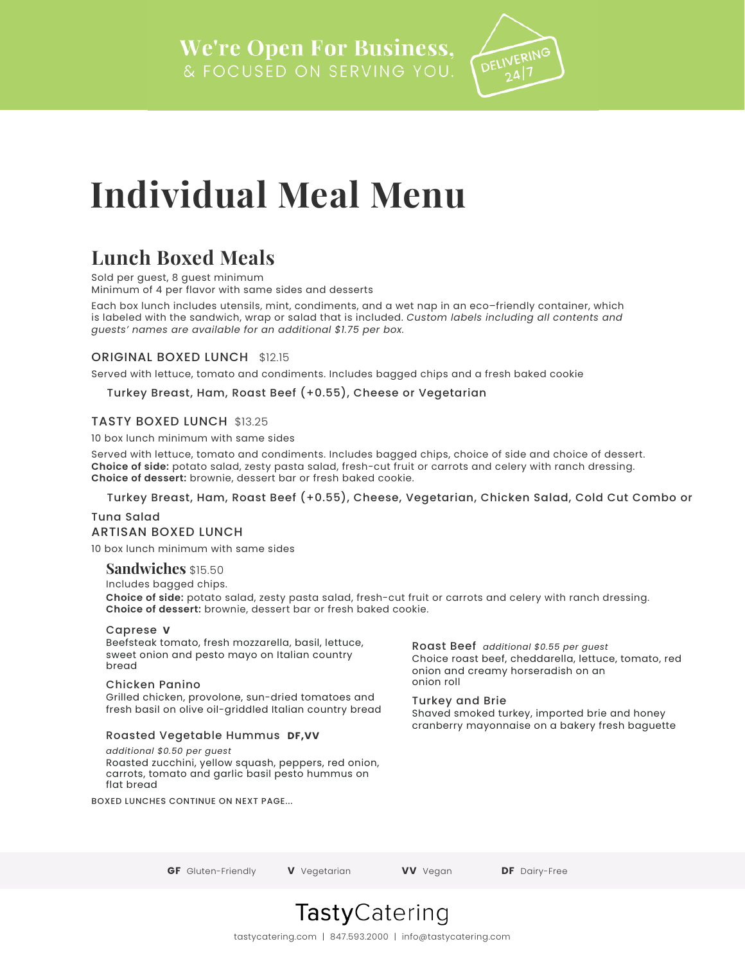

# **Individual Meal Menu**

# **Lunch Boxed Meals**

Sold per quest, 8 quest minimum Minimum of 4 per flavor with same sides and desserts

Each box lunch includes utensils, mint, condiments, and a wet nap in an eco–friendly container, which is labeled with the sandwich, wrap or salad that is included. *Custom labels including all contents and guests' names are available for an additional \$1.75 per box.*

## ORIGINAL BOXED LUNCH \$12.15

Served with lettuce, tomato and condiments. Includes bagged chips and a fresh baked cookie

## Turkey Breast, Ham, Roast Beef (+0.55), Cheese or Vegetarian

## TASTY BOXED LUNCH \$13.25

10 box lunch minimum with same sides

Served with lettuce, tomato and condiments. Includes bagged chips, choice of side and choice of dessert. **Choice of side:** potato salad, zesty pasta salad, fresh-cut fruit or carrots and celery with ranch dressing. **Choice of dessert:** brownie, dessert bar or fresh baked cookie.

### Turkey Breast, Ham, Roast Beef (+0.55), Cheese, Vegetarian, Chicken Salad, Cold Cut Combo or

Tuna Salad ARTISAN BOXED LUNCH

10 box lunch minimum with same sides

## **Sandwiches** \$15.50

Includes bagged chips. **Choice of side:** potato salad, zesty pasta salad, fresh-cut fruit or carrots and celery with ranch dressing. **Choice of dessert:** brownie, dessert bar or fresh baked cookie.

### Caprese **V**

Beefsteak tomato, fresh mozzarella, basil, lettuce, sweet onion and pesto mayo on Italian country bread

### Chicken Panino

Grilled chicken, provolone, sun-dried tomatoes and fresh basil on olive oil-griddled Italian country bread

## Roasted Vegetable Hummus **DF,VV**

*additional \$0.50 per guest* Roasted zucchini, yellow squash, peppers, red onion, carrots, tomato and garlic basil pesto hummus on flat bread

BOXED LUNCHES CONTINUE ON NEXT PAGE...

Roast Beef *additional \$0.55 per guest* Choice roast beef, cheddarella, lettuce, tomato, red onion and creamy horseradish on an onion roll

### Turkey and Brie

Shaved smoked turkey, imported brie and honey cranberry mayonnaise on a bakery fresh baguette

**GF** Gluten-Friendly **V** Vegetarian **VV** Vegan **DF** Dairy-Free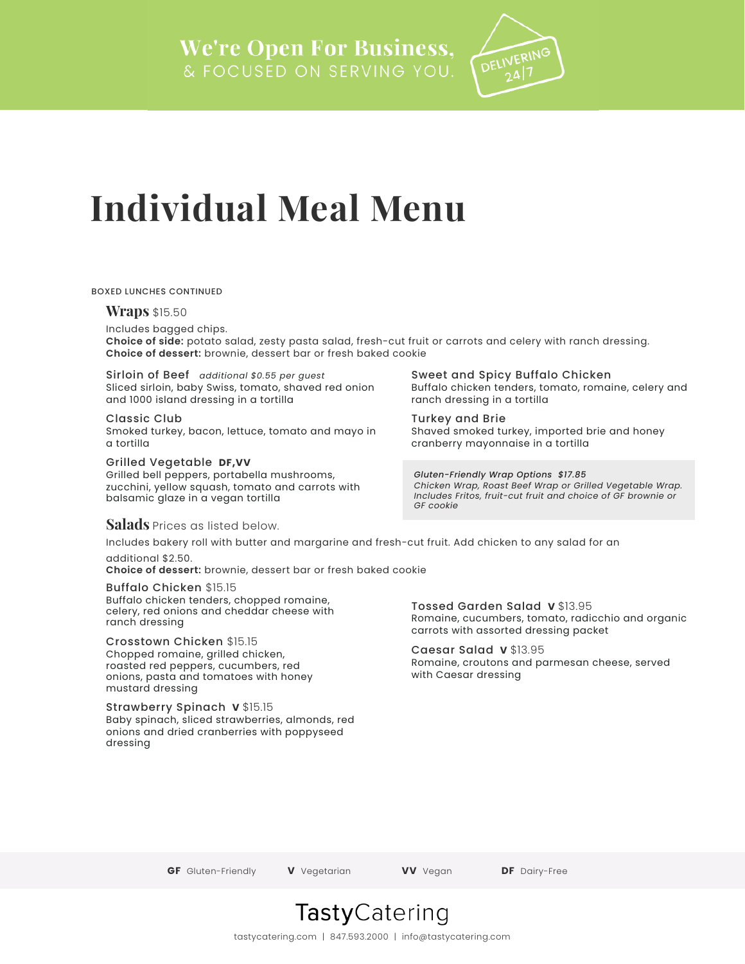

# **Individual Meal Menu**

#### BOXED LUNCHES CONTINUED

#### **Wraps** \$15.50

Includes bagged chips.

**Choice of side:** potato salad, zesty pasta salad, fresh-cut fruit or carrots and celery with ranch dressing. **Choice of dessert:** brownie, dessert bar or fresh baked cookie

Sirloin of Beef *additional \$0.55 per guest* Sliced sirloin, baby Swiss, tomato, shaved red onion and 1000 island dressing in a tortilla

#### Classic Club

Smoked turkey, bacon, lettuce, tomato and mayo in a tortilla

### Grilled Vegetable **DF,VV**

Grilled bell peppers, portabella mushrooms, zucchini, yellow squash, tomato and carrots with balsamic glaze in a vegan tortilla

# Turkey and Brie

ranch dressing in a tortilla

Sweet and Spicy Buffalo Chicken

Shaved smoked turkey, imported brie and honey cranberry mayonnaise in a tortilla

Buffalo chicken tenders, tomato, romaine, celery and

*Gluten-Friendly Wrap Options \$17.85 Chicken Wrap, Roast Beef Wrap or Grilled Vegetable Wrap. Includes Fritos, fruit-cut fruit and choice of GF brownie or GF cookie*

## **Salads** Prices as listed below.

Includes bakery roll with butter and margarine and fresh-cut fruit. Add chicken to any salad for an additional \$2.50.

**Choice of dessert:** brownie, dessert bar or fresh baked cookie

#### Buffalo Chicken \$15.15

Buffalo chicken tenders, chopped romaine, celery, red onions and cheddar cheese with ranch dressing

### Crosstown Chicken \$15.15

Chopped romaine, grilled chicken, roasted red peppers, cucumbers, red onions, pasta and tomatoes with honey mustard dressing

### Strawberry Spinach **V** \$15.15

Baby spinach, sliced strawberries, almonds, red onions and dried cranberries with poppyseed dressing

### Tossed Garden Salad **V** \$13.95

Romaine, cucumbers, tomato, radicchio and organic carrots with assorted dressing packet

## Caesar Salad **V** \$13.95

Romaine, croutons and parmesan cheese, served with Caesar dressing

**GF** Gluten-Friendly **V** Vegetarian **VV** Vegan **DF** Dairy-Free

# **Tasty**Catering

tastycatering.com | 847.593.2000 | info@tastycatering.com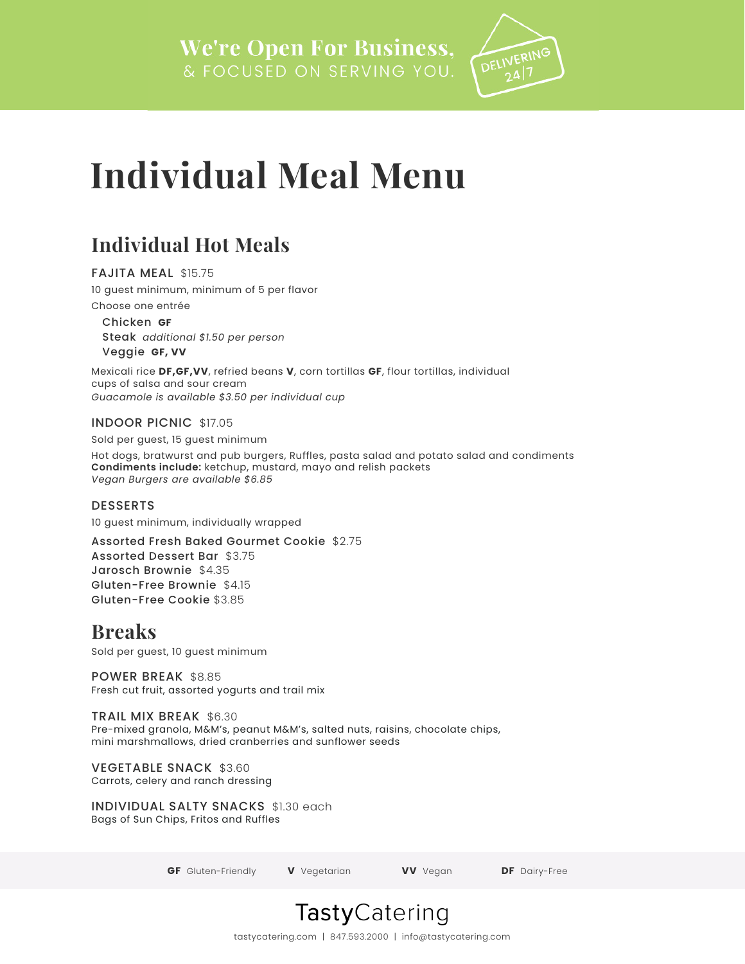

# **Individual Meal Menu**

# **Individual Hot Meals**

FAJITA MEAL \$15.75 10 guest minimum, minimum of 5 per flavor Choose one entrée

Chicken **GF** Steak *additional \$1.50 per person* Veggie **GF, VV** 

Mexicali rice **DF,GF,VV**, refried beans **V**, corn tortillas **GF**, flour tortillas, individual cups of salsa and sour cream *Guacamole is available \$3.50 per individual cup*

INDOOR PICNIC \$17.05

Sold per guest, 15 guest minimum

Hot dogs, bratwurst and pub burgers, Ruffles, pasta salad and potato salad and condiments **Condiments include:** ketchup, mustard, mayo and relish packets *Vegan Burgers are available \$6.85*

DESSERTS

10 guest minimum, individually wrapped

Assorted Fresh Baked Gourmet Cookie \$2.75 Assorted Dessert Bar \$3.75 Jarosch Brownie \$4.35 Gluten-Free Brownie \$4.15 Gluten-Free Cookie \$3.85

# **Breaks**

Sold per guest, 10 guest minimum

POWER BREAK \$8.85 Fresh cut fruit, assorted yogurts and trail mix

TRAIL MIX BREAK \$6.30

Pre-mixed granola, M&M's, peanut M&M's, salted nuts, raisins, chocolate chips, mini marshmallows, dried cranberries and sunflower seeds

VEGETABLE SNACK \$3.60

Carrots, celery and ranch dressing

INDIVIDUAL SALTY SNACKS \$1.30 each

Bags of Sun Chips, Fritos and Ruffles

**GF** Gluten-Friendly **V** Vegetarian **VV** Vegan **DF** Dairy-Free



tastycatering.com | 847.593.2000 | info@tastycatering.com